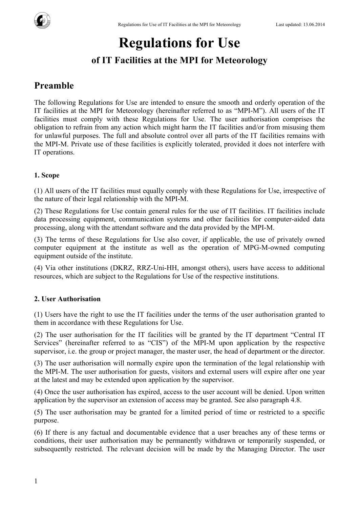

# **Regulations for Use**

# **of IT Facilities at the MPI for Meteorology**

# **Preamble**

The following Regulations for Use are intended to ensure the smooth and orderly operation of the IT facilities at the MPI for Meteorology (hereinafter referred to as "MPI-M"). All users of the IT facilities must comply with these Regulations for Use. The user authorisation comprises the obligation to refrain from any action which might harm the IT facilities and/or from misusing them for unlawful purposes. The full and absolute control over all parts of the IT facilities remains with the MPI-M. Private use of these facilities is explicitly tolerated, provided it does not interfere with IT operations.

# **1. Scope**

(1) All users of the IT facilities must equally comply with these Regulations for Use, irrespective of the nature of their legal relationship with the MPI-M.

(2) These Regulations for Use contain general rules for the use of IT facilities. IT facilities include data processing equipment, communication systems and other facilities for computer-aided data processing, along with the attendant software and the data provided by the MPI-M.

(3) The terms of these Regulations for Use also cover, if applicable, the use of privately owned computer equipment at the institute as well as the operation of MPG-M-owned computing equipment outside of the institute.

(4) Via other institutions (DKRZ, RRZ-Uni-HH, amongst others), users have access to additional resources, which are subject to the Regulations for Use of the respective institutions.

## **2. User Authorisation**

(1) Users have the right to use the IT facilities under the terms of the user authorisation granted to them in accordance with these Regulations for Use.

(2) The user authorisation for the IT facilities will be granted by the IT department "Central IT Services" (hereinafter referred to as "CIS") of the MPI-M upon application by the respective supervisor, i.e. the group or project manager, the master user, the head of department or the director.

(3) The user authorisation will normally expire upon the termination of the legal relationship with the MPI-M. The user authorisation for guests, visitors and external users will expire after one year at the latest and may be extended upon application by the supervisor.

(4) Once the user authorisation has expired, access to the user account will be denied. Upon written application by the supervisor an extension of access may be granted. See also paragraph 4.8.

(5) The user authorisation may be granted for a limited period of time or restricted to a specific purpose.

(6) If there is any factual and documentable evidence that a user breaches any of these terms or conditions, their user authorisation may be permanently withdrawn or temporarily suspended, or subsequently restricted. The relevant decision will be made by the Managing Director. The user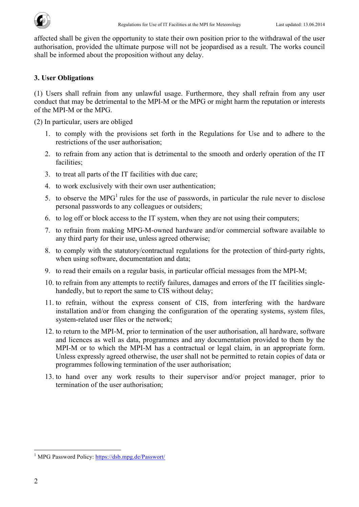affected shall be given the opportunity to state their own position prior to the withdrawal of the user authorisation, provided the ultimate purpose will not be jeopardised as a result. The works council shall be informed about the proposition without any delay.

#### **3. User Obligations**

(1) Users shall refrain from any unlawful usage. Furthermore, they shall refrain from any user conduct that may be detrimental to the MPI-M or the MPG or might harm the reputation or interests of the MPI-M or the MPG.

(2) In particular, users are obliged

- 1. to comply with the provisions set forth in the Regulations for Use and to adhere to the restrictions of the user authorisation;
- 2. to refrain from any action that is detrimental to the smooth and orderly operation of the IT facilities;
- 3. to treat all parts of the IT facilities with due care;
- 4. to work exclusively with their own user authentication;
- 5. to observe the MPG<sup>1</sup> rules for the use of passwords, in particular the rule never to disclose personal passwords to any colleagues or outsiders;
- 6. to log off or block access to the IT system, when they are not using their computers;
- 7. to refrain from making MPG-M-owned hardware and/or commercial software available to any third party for their use, unless agreed otherwise;
- 8. to comply with the statutory/contractual regulations for the protection of third-party rights, when using software, documentation and data;
- 9. to read their emails on a regular basis, in particular official messages from the MPI-M;
- 10. to refrain from any attempts to rectify failures, damages and errors of the IT facilities singlehandedly, but to report the same to CIS without delay;
- 11. to refrain, without the express consent of CIS, from interfering with the hardware installation and/or from changing the configuration of the operating systems, system files, system-related user files or the network;
- 12. to return to the MPI-M, prior to termination of the user authorisation, all hardware, software and licences as well as data, programmes and any documentation provided to them by the MPI-M or to which the MPI-M has a contractual or legal claim, in an appropriate form. Unless expressly agreed otherwise, the user shall not be permitted to retain copies of data or programmes following termination of the user authorisation;
- 13. to hand over any work results to their supervisor and/or project manager, prior to termination of the user authorisation;

<sup>&</sup>lt;sup>1</sup> MPG Password Policy: https://dsb.mpg.de/Passwort/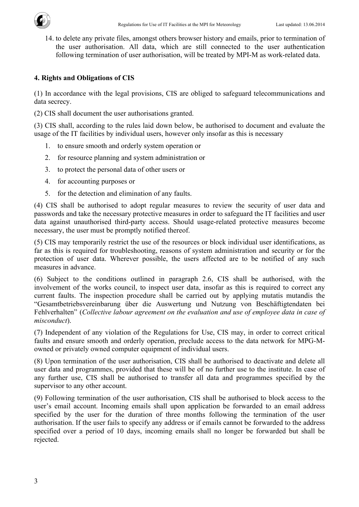

14. to delete any private files, amongst others browser history and emails, prior to termination of the user authorisation. All data, which are still connected to the user authentication following termination of user authorisation, will be treated by MPI-M as work-related data.

#### **4. Rights and Obligations of CIS**

(1) In accordance with the legal provisions, CIS are obliged to safeguard telecommunications and data secrecy.

(2) CIS shall document the user authorisations granted.

(3) CIS shall, according to the rules laid down below, be authorised to document and evaluate the usage of the IT facilities by individual users, however only insofar as this is necessary

- 1. to ensure smooth and orderly system operation or
- 2. for resource planning and system administration or
- 3. to protect the personal data of other users or
- 4. for accounting purposes or
- 5. for the detection and elimination of any faults.

(4) CIS shall be authorised to adopt regular measures to review the security of user data and passwords and take the necessary protective measures in order to safeguard the IT facilities and user data against unauthorised third-party access. Should usage-related protective measures become necessary, the user must be promptly notified thereof.

(5) CIS may temporarily restrict the use of the resources or block individual user identifications, as far as this is required for troubleshooting, reasons of system administration and security or for the protection of user data. Wherever possible, the users affected are to be notified of any such measures in advance.

(6) Subject to the conditions outlined in paragraph 2.6, CIS shall be authorised, with the involvement of the works council, to inspect user data, insofar as this is required to correct any current faults. The inspection procedure shall be carried out by applying mutatis mutandis the "Gesamtbetriebsvereinbarung über die Auswertung und Nutzung von Beschäftigtendaten bei Fehlverhalten" (*Collective labour agreement on the evaluation and use of employee data in case of misconduct*).

(7) Independent of any violation of the Regulations for Use, CIS may, in order to correct critical faults and ensure smooth and orderly operation, preclude access to the data network for MPG-Mowned or privately owned computer equipment of individual users.

(8) Upon termination of the user authorisation, CIS shall be authorised to deactivate and delete all user data and programmes, provided that these will be of no further use to the institute. In case of any further use, CIS shall be authorised to transfer all data and programmes specified by the supervisor to any other account.

(9) Following termination of the user authorisation, CIS shall be authorised to block access to the user's email account. Incoming emails shall upon application be forwarded to an email address specified by the user for the duration of three months following the termination of the user authorisation. If the user fails to specify any address or if emails cannot be forwarded to the address specified over a period of 10 days, incoming emails shall no longer be forwarded but shall be rejected.